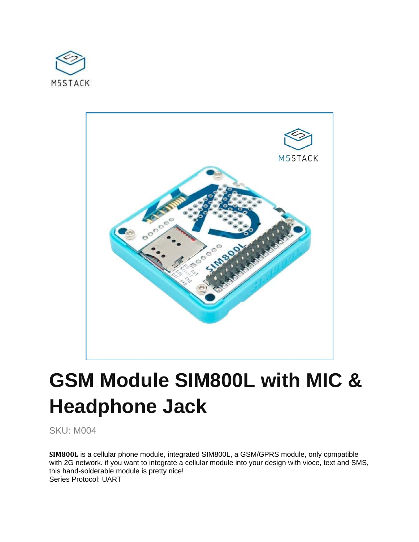



# **GSM Module SIM800L with MIC & Headphone Jack**

SKU: M004

**SIM800L** is a cellular phone module, integrated SIM800L, a GSM/GPRS module, only cpmpatible with 2G network. if you want to integrate a cellular module into your design with vioce, text and SMS, this hand-solderable module is pretty nice! Series Protocol: UART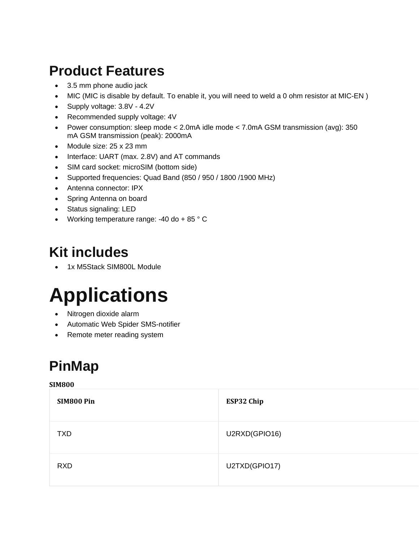## **Product Features**

- 3.5 mm phone audio jack
- MIC (MIC is disable by default. To enable it, you will need to weld a 0 ohm resistor at MIC-EN )
- Supply voltage: 3.8V 4.2V
- Recommended supply voltage: 4V
- Power consumption: sleep mode < 2.0mA idle mode < 7.0mA GSM transmission (avg): 350 mA GSM transmission (peak): 2000mA
- Module size: 25 x 23 mm
- Interface: UART (max. 2.8V) and AT commands
- SIM card socket: microSIM (bottom side)
- Supported frequencies: Quad Band (850 / 950 / 1800 /1900 MHz)
- Antenna connector: IPX
- Spring Antenna on board
- Status signaling: LED
- Working temperature range:  $-40$  do  $+85$   $^{\circ}$  C

### **Kit includes**

1x M5Stack SIM800L Module

# **Applications**

- Nitrogen dioxide alarm
- Automatic Web Spider SMS-notifier
- Remote meter reading system

## **PinMap**

#### **SIM800**

| SIM800 Pin | ESP32 Chip    |
|------------|---------------|
| <b>TXD</b> | U2RXD(GPIO16) |
| <b>RXD</b> | U2TXD(GPIO17) |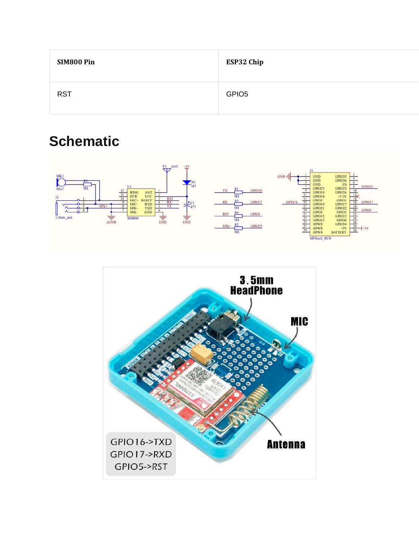| SIM800 Pin | ESP32 Chip        |
|------------|-------------------|
| <b>RST</b> | GPIO <sub>5</sub> |

### **Schematic**